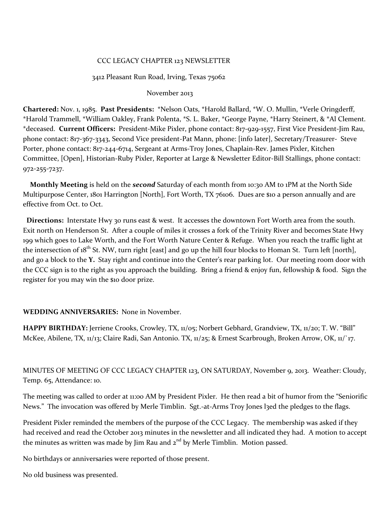## CCC LEGACY CHAPTER 123 NEWSLETTER

#### 3412 Pleasant Run Road, Irving, Texas 75062

#### November 2013

**Chartered:** Nov. 1, 1985. **Past Presidents:** \*Nelson Oats, \*Harold Ballard, \*W. O. Mullin, \*Verle Oringderff, \*Harold Trammell, \*William Oakley, Frank Polenta, \*S. L. Baker, \*George Payne, \*Harry Steinert, & \*Al Clement. \*deceased. **Current Officers:** President-Mike Pixler, phone contact: 817-929-1557, First Vice President-Jim Rau, phone contact: 817-367-3343, Second Vice president-Pat Mann, phone: [info later], Secretary/Treasurer- Steve Porter, phone contact: 817-244-6714, Sergeant at Arms-Troy Jones, Chaplain-Rev. James Pixler, Kitchen Committee, [Open], Historian-Ruby Pixler, Reporter at Large & Newsletter Editor-Bill Stallings, phone contact: 972-255-7237.

 **Monthly Meeting** is held on the *second* Saturday of each month from 10:30 AM to 1PM at the North Side Multipurpose Center, 1801 Harrington [North], Fort Worth, TX 76106. Dues are \$10 a person annually and are effective from Oct. to Oct.

 **Directions:** Interstate Hwy 30 runs east & west. It accesses the downtown Fort Worth area from the south. Exit north on Henderson St. After a couple of miles it crosses a fork of the Trinity River and becomes State Hwy 199 which goes to Lake Worth, and the Fort Worth Nature Center & Refuge. When you reach the traffic light at the intersection of  $18^{th}$  St. NW, turn right [east] and go up the hill four blocks to Homan St. Turn left [north], and go a block to the **Y.** Stay right and continue into the Center's rear parking lot. Our meeting room door with the CCC sign is to the right as you approach the building. Bring a friend & enjoy fun, fellowship & food. Sign the register for you may win the \$10 door prize.

## **WEDDING ANNIVERSARIES:** None in November.

**HAPPY BIRTHDAY:** Jerriene Crooks, Crowley, TX, 11/05; Norbert Gebhard, Grandview, TX, 11/20; T. W. "Bill" McKee, Abilene, TX, 11/13; Claire Radi, San Antonio. TX, 11/25; & Ernest Scarbrough, Broken Arrow, OK, 11/`17.

MINUTES OF MEETING OF CCC LEGACY CHAPTER 123, ON SATURDAY, November 9, 2013. Weather: Cloudy, Temp. 65, Attendance: 10.

The meeting was called to order at 11:00 AM by President Pixler. He then read a bit of humor from the "Seniorific News." The invocation was offered by Merle Timblin. Sgt.-at-Arms Troy Jones l3ed the pledges to the flags.

President Pixler reminded the members of the purpose of the CCC Legacy. The membership was asked if they had received and read the October 2013 minutes in the newsletter and all indicated they had. A motion to accept the minutes as written was made by  $\lim$  Rau and  $2^{nd}$  by Merle Timblin. Motion passed.

No birthdays or anniversaries were reported of those present.

No old business was presented.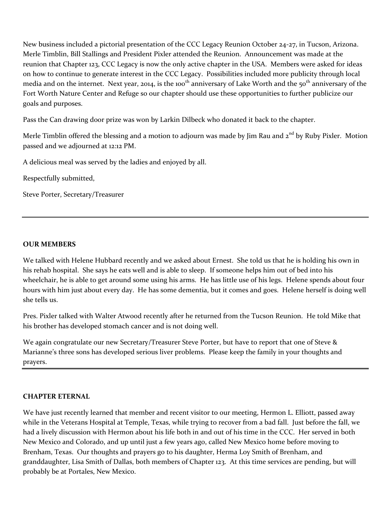New business included a pictorial presentation of the CCC Legacy Reunion October 24-27, in Tucson, Arizona. Merle Timblin, Bill Stallings and President Pixler attended the Reunion. Announcement was made at the reunion that Chapter 123, CCC Legacy is now the only active chapter in the USA. Members were asked for ideas on how to continue to generate interest in the CCC Legacy. Possibilities included more publicity through local media and on the internet. Next year, 2014, is the 100<sup>th</sup> anniversary of Lake Worth and the 50<sup>th</sup> anniversary of the Fort Worth Nature Center and Refuge so our chapter should use these opportunities to further publicize our goals and purposes.

Pass the Can drawing door prize was won by Larkin Dilbeck who donated it back to the chapter.

Merle Timblin offered the blessing and a motion to adjourn was made by Jim Rau and 2<sup>nd</sup> by Ruby Pixler. Motion passed and we adjourned at 12:12 PM.

A delicious meal was served by the ladies and enjoyed by all.

Respectfully submitted,

Steve Porter, Secretary/Treasurer

## **OUR MEMBERS**

We talked with Helene Hubbard recently and we asked about Ernest. She told us that he is holding his own in his rehab hospital. She says he eats well and is able to sleep. If someone helps him out of bed into his wheelchair, he is able to get around some using his arms. He has little use of his legs. Helene spends about four hours with him just about every day. He has some dementia, but it comes and goes. Helene herself is doing well she tells us.

Pres. Pixler talked with Walter Atwood recently after he returned from the Tucson Reunion. He told Mike that his brother has developed stomach cancer and is not doing well.

We again congratulate our new Secretary/Treasurer Steve Porter, but have to report that one of Steve & Marianne's three sons has developed serious liver problems. Please keep the family in your thoughts and prayers.

## **CHAPTER ETERNAL**

We have just recently learned that member and recent visitor to our meeting, Hermon L. Elliott, passed away while in the Veterans Hospital at Temple, Texas, while trying to recover from a bad fall. Just before the fall, we had a lively discussion with Hermon about his life both in and out of his time in the CCC. Her served in both New Mexico and Colorado, and up until just a few years ago, called New Mexico home before moving to Brenham, Texas. Our thoughts and prayers go to his daughter, Herma Loy Smith of Brenham, and granddaughter, Lisa Smith of Dallas, both members of Chapter 123. At this time services are pending, but will probably be at Portales, New Mexico.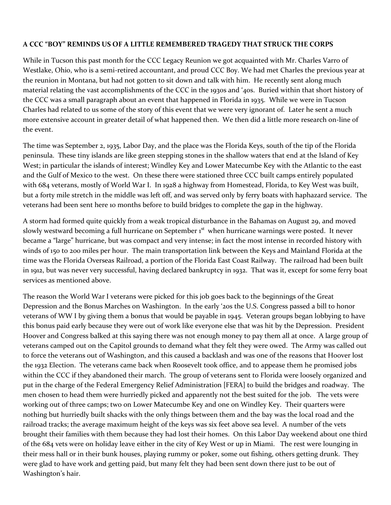# **A CCC "BOY" REMINDS US OF A LITTLE REMEMBERED TRAGEDY THAT STRUCK THE CORPS**

While in Tucson this past month for the CCC Legacy Reunion we got acquainted with Mr. Charles Varro of Westlake, Ohio, who is a semi-retired accountant, and proud CCC Boy. We had met Charles the previous year at the reunion in Montana, but had not gotten to sit down and talk with him. He recently sent along much material relating the vast accomplishments of the CCC in the 1930s and '40s. Buried within that short history of the CCC was a small paragraph about an event that happened in Florida in 1935. While we were in Tucson Charles had related to us some of the story of this event that we were very ignorant of. Later he sent a much more extensive account in greater detail of what happened then. We then did a little more research on-line of the event.

The time was September 2, 1935, Labor Day, and the place was the Florida Keys, south of the tip of the Florida peninsula. These tiny islands are like green stepping stones in the shallow waters that end at the Island of Key West; in particular the islands of interest; Windley Key and Lower Matecumbe Key with the Atlantic to the east and the Gulf of Mexico to the west. On these there were stationed three CCC built camps entirely populated with 684 veterans, mostly of World War I. In 1928 a highway from Homestead, Florida, to Key West was built, but a forty mile stretch in the middle was left off, and was served only by ferry boats with haphazard service. The veterans had been sent here 10 months before to build bridges to complete the gap in the highway.

A storm had formed quite quickly from a weak tropical disturbance in the Bahamas on August 29, and moved slowly westward becoming a full hurricane on September 1<sup>st</sup> when hurricane warnings were posted. It never became a "large" hurricane, but was compact and very intense; in fact the most intense in recorded history with winds of 150 to 200 miles per hour. The main transportation link between the Keys and Mainland Florida at the time was the Florida Overseas Railroad, a portion of the Florida East Coast Railway. The railroad had been built in 1912, but was never very successful, having declared bankruptcy in 1932. That was it, except for some ferry boat services as mentioned above.

The reason the World War I veterans were picked for this job goes back to the beginnings of the Great Depression and the Bonus Marches on Washington. In the early '20s the U.S. Congress passed a bill to honor veterans of WW I by giving them a bonus that would be payable in 1945. Veteran groups began lobbying to have this bonus paid early because they were out of work like everyone else that was hit by the Depression. President Hoover and Congress balked at this saying there was not enough money to pay them all at once. A large group of veterans camped out on the Capitol grounds to demand what they felt they were owed. The Army was called out to force the veterans out of Washington, and this caused a backlash and was one of the reasons that Hoover lost the 1932 Election. The veterans came back when Roosevelt took office, and to appease them he promised jobs within the CCC if they abandoned their march. The group of veterans sent to Florida were loosely organized and put in the charge of the Federal Emergency Relief Administration [FERA] to build the bridges and roadway. The men chosen to head them were hurriedly picked and apparently not the best suited for the job. The vets were working out of three camps; two on Lower Matecumbe Key and one on Windley Key. Their quarters were nothing but hurriedly built shacks with the only things between them and the bay was the local road and the railroad tracks; the average maximum height of the keys was six feet above sea level. A number of the vets brought their families with them because they had lost their homes. On this Labor Day weekend about one third of the 684 vets were on holiday leave either in the city of Key West or up in Miami. The rest were lounging in their mess hall or in their bunk houses, playing rummy or poker, some out fishing, others getting drunk. They were glad to have work and getting paid, but many felt they had been sent down there just to be out of Washington's hair.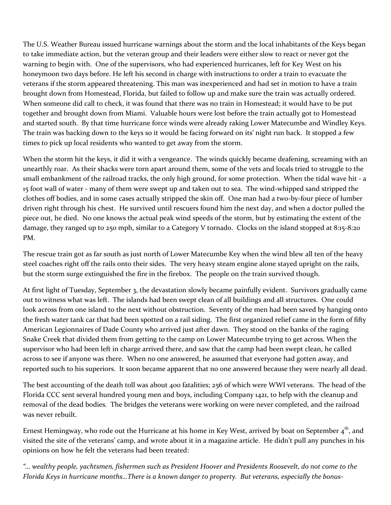The U.S. Weather Bureau issued hurricane warnings about the storm and the local inhabitants of the Keys began to take immediate action, but the veteran group and their leaders were either slow to react or never got the warning to begin with. One of the supervisors, who had experienced hurricanes, left for Key West on his honeymoon two days before. He left his second in charge with instructions to order a train to evacuate the veterans if the storm appeared threatening. This man was inexperienced and had set in motion to have a train brought down from Homestead, Florida, but failed to follow up and make sure the train was actually ordered. When someone did call to check, it was found that there was no train in Homestead; it would have to be put together and brought down from Miami. Valuable hours were lost before the train actually got to Homestead and started south. By that time hurricane force winds were already raking Lower Matecumbe and Windley Keys. The train was backing down to the keys so it would be facing forward on its' night run back. It stopped a few times to pick up local residents who wanted to get away from the storm.

When the storm hit the keys, it did it with a vengeance. The winds quickly became deafening, screaming with an unearthly roar. As their shacks were torn apart around them, some of the vets and locals tried to struggle to the small embankment of the railroad tracks, the only high ground, for some protection. When the tidal wave hit - a 15 foot wall of water - many of them were swept up and taken out to sea. The wind-whipped sand stripped the clothes off bodies, and in some cases actually stripped the skin off. One man had a two-by-four piece of lumber driven right through his chest. He survived until rescuers found him the next day, and when a doctor pulled the piece out, he died. No one knows the actual peak wind speeds of the storm, but by estimating the extent of the damage, they ranged up to 250 mph, similar to a Category V tornado. Clocks on the island stopped at 8:15-8:20 PM.

The rescue train got as far south as just north of Lower Matecumbe Key when the wind blew all ten of the heavy steel coaches right off the rails onto their sides. The very heavy steam engine alone stayed upright on the rails, but the storm surge extinguished the fire in the firebox. The people on the train survived though.

At first light of Tuesday, September 3, the devastation slowly became painfully evident. Survivors gradually came out to witness what was left. The islands had been swept clean of all buildings and all structures. One could look across from one island to the next without obstruction. Seventy of the men had been saved by hanging onto the fresh water tank car that had been spotted on a rail siding. The first organized relief came in the form of fifty American Legionnaires of Dade County who arrived just after dawn. They stood on the banks of the raging Snake Creek that divided them from getting to the camp on Lower Matecumbe trying to get across. When the supervisor who had been left in charge arrived there, and saw that the camp had been swept clean, he called across to see if anyone was there. When no one answered, he assumed that everyone had gotten away, and reported such to his superiors. It soon became apparent that no one answered because they were nearly all dead.

The best accounting of the death toll was about 400 fatalities; 256 of which were WWI veterans. The head of the Florida CCC sent several hundred young men and boys, including Company 1421, to help with the cleanup and removal of the dead bodies. The bridges the veterans were working on were never completed, and the railroad was never rebuilt.

Ernest Hemingway, who rode out the Hurricane at his home in Key West, arrived by boat on September  $4<sup>th</sup>$ , and visited the site of the veterans' camp, and wrote about it in a magazine article. He didn't pull any punches in his opinions on how he felt the veterans had been treated:

*"… wealthy people, yachtsmen, fishermen such as President Hoover and Presidents Roosevelt, do not come to the Florida Keys in hurricane months…There is a known danger to property. But veterans, especially the bonus-*